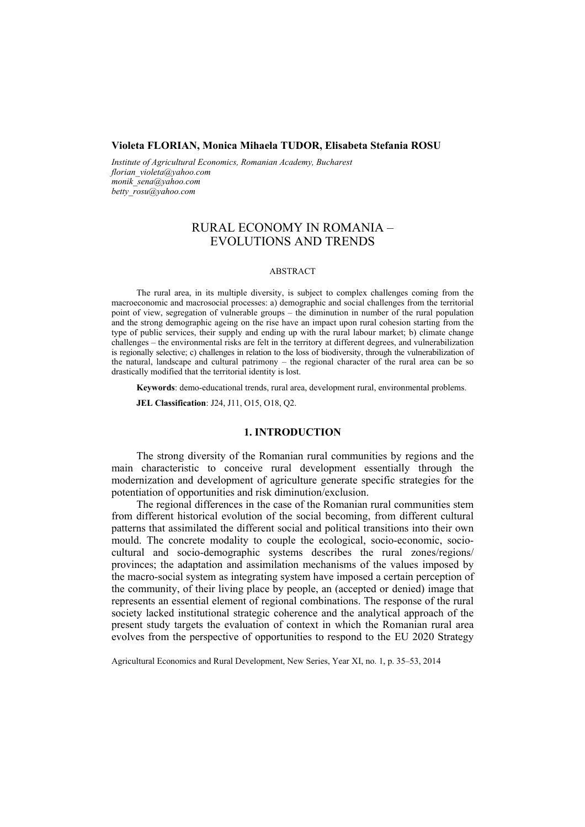#### **Violeta FLORIAN, Monica Mihaela TUDOR, Elisabeta Stefania ROSU**

*Institute of Agricultural Economics, Romanian Academy, Bucharest florian\_violeta@yahoo.com monik\_sena@yahoo.com betty\_rosu@yahoo.com* 

# RURAL ECONOMY IN ROMANIA – EVOLUTIONS AND TRENDS

#### ABSTRACT

The rural area, in its multiple diversity, is subject to complex challenges coming from the macroeconomic and macrosocial processes: a) demographic and social challenges from the territorial point of view, segregation of vulnerable groups – the diminution in number of the rural population and the strong demographic ageing on the rise have an impact upon rural cohesion starting from the type of public services, their supply and ending up with the rural labour market; b) climate change challenges – the environmental risks are felt in the territory at different degrees, and vulnerabilization is regionally selective; c) challenges in relation to the loss of biodiversity, through the vulnerabilization of the natural, landscape and cultural patrimony – the regional character of the rural area can be so drastically modified that the territorial identity is lost.

**Keywords**: demo-educational trends, rural area, development rural, environmental problems.

**JEL Classification**: J24, J11, O15, O18, Q2.

### **1. INTRODUCTION**

The strong diversity of the Romanian rural communities by regions and the main characteristic to conceive rural development essentially through the modernization and development of agriculture generate specific strategies for the potentiation of opportunities and risk diminution/exclusion.

The regional differences in the case of the Romanian rural communities stem from different historical evolution of the social becoming, from different cultural patterns that assimilated the different social and political transitions into their own mould. The concrete modality to couple the ecological, socio-economic, sociocultural and socio-demographic systems describes the rural zones/regions/ provinces; the adaptation and assimilation mechanisms of the values imposed by the macro-social system as integrating system have imposed a certain perception of the community, of their living place by people, an (accepted or denied) image that represents an essential element of regional combinations. The response of the rural society lacked institutional strategic coherence and the analytical approach of the present study targets the evaluation of context in which the Romanian rural area evolves from the perspective of opportunities to respond to the EU 2020 Strategy

Agricultural Economics and Rural Development, New Series, Year XI, no. 1, p. 35–53, 2014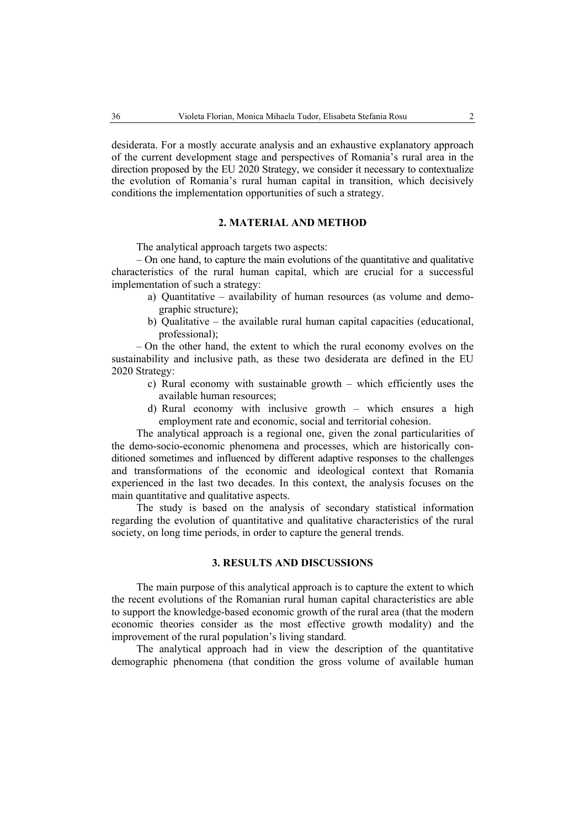desiderata. For a mostly accurate analysis and an exhaustive explanatory approach of the current development stage and perspectives of Romania's rural area in the direction proposed by the EU 2020 Strategy, we consider it necessary to contextualize the evolution of Romania's rural human capital in transition, which decisively conditions the implementation opportunities of such a strategy.

## **2. MATERIAL AND METHOD**

The analytical approach targets two aspects:

– On one hand, to capture the main evolutions of the quantitative and qualitative characteristics of the rural human capital, which are crucial for a successful implementation of such a strategy:

- a) Quantitative availability of human resources (as volume and demographic structure);
- b) Qualitative the available rural human capital capacities (educational, professional);

– On the other hand, the extent to which the rural economy evolves on the sustainability and inclusive path, as these two desiderata are defined in the EU 2020 Strategy:

- c) Rural economy with sustainable growth which efficiently uses the available human resources;
- d) Rural economy with inclusive growth which ensures a high employment rate and economic, social and territorial cohesion.

The analytical approach is a regional one, given the zonal particularities of the demo-socio-economic phenomena and processes, which are historically conditioned sometimes and influenced by different adaptive responses to the challenges and transformations of the economic and ideological context that Romania experienced in the last two decades. In this context, the analysis focuses on the main quantitative and qualitative aspects.

The study is based on the analysis of secondary statistical information regarding the evolution of quantitative and qualitative characteristics of the rural society, on long time periods, in order to capture the general trends.

### **3. RESULTS AND DISCUSSIONS**

The main purpose of this analytical approach is to capture the extent to which the recent evolutions of the Romanian rural human capital characteristics are able to support the knowledge-based economic growth of the rural area (that the modern economic theories consider as the most effective growth modality) and the improvement of the rural population's living standard.

The analytical approach had in view the description of the quantitative demographic phenomena (that condition the gross volume of available human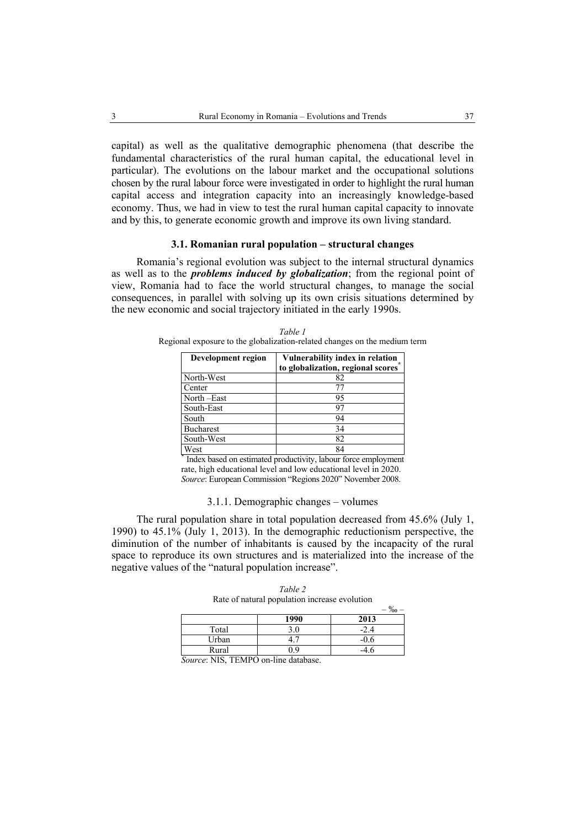capital) as well as the qualitative demographic phenomena (that describe the fundamental characteristics of the rural human capital, the educational level in particular). The evolutions on the labour market and the occupational solutions chosen by the rural labour force were investigated in order to highlight the rural human capital access and integration capacity into an increasingly knowledge-based economy. Thus, we had in view to test the rural human capital capacity to innovate and by this, to generate economic growth and improve its own living standard.

## **3.1. Romanian rural population – structural changes**

Romania's regional evolution was subject to the internal structural dynamics as well as to the *problems induced by globalization*; from the regional point of view, Romania had to face the world structural changes, to manage the social consequences, in parallel with solving up its own crisis situations determined by the new economic and social trajectory initiated in the early 1990s.

| Development region              | Vulnerability index in relation<br>to globalization, regional scores |
|---------------------------------|----------------------------------------------------------------------|
| North-West                      | 82                                                                   |
| Center                          | 77                                                                   |
| $\overline{\text{North}}$ -East | 95                                                                   |
| South-East                      | 97                                                                   |
| South                           | 94                                                                   |
| <b>Bucharest</b>                | 34                                                                   |
| South-West                      | 82                                                                   |
| West                            | 84                                                                   |

*Table 1*  Regional exposure to the globalization-related changes on the medium term

\* Index based on estimated productivity, labour force employment rate, high educational level and low educational level in 2020. *Source*: European Commission "Regions 2020" November 2008.

#### 3.1.1. Demographic changes – volumes

The rural population share in total population decreased from 45.6% (July 1, 1990) to 45.1% (July 1, 2013). In the demographic reductionism perspective, the diminution of the number of inhabitants is caused by the incapacity of the rural space to reproduce its own structures and is materialized into the increase of the negative values of the "natural population increase".

| Rate of natural population increase evolution |      |        |  |  |
|-----------------------------------------------|------|--------|--|--|
|                                               |      |        |  |  |
|                                               | 1990 | 2013   |  |  |
| Total                                         | 3.0  | $-2.4$ |  |  |
| Urban                                         |      | -0.6   |  |  |

Rural 0.9 -4.6

*Table 2* 

|  | Source: NIS, TEMPO on-line database. |  |
|--|--------------------------------------|--|
|--|--------------------------------------|--|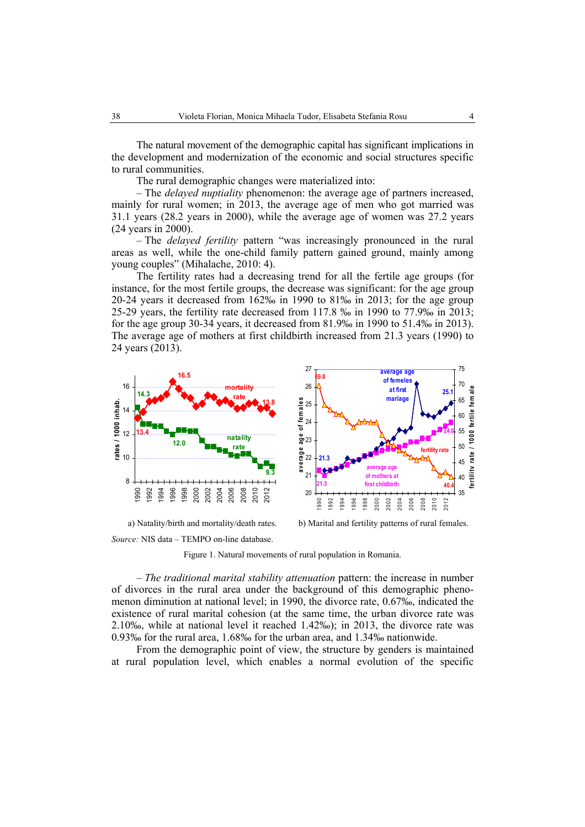The natural movement of the demographic capital has significant implications in the development and modernization of the economic and social structures specific to rural communities.

The rural demographic changes were materialized into:

– The *delayed nuptiality* phenomenon: the average age of partners increased, mainly for rural women; in 2013, the average age of men who got married was 31.1 years (28.2 years in 2000), while the average age of women was 27.2 years (24 years in 2000).

– The *delayed fertility* pattern "was increasingly pronounced in the rural areas as well, while the one-child family pattern gained ground, mainly among young couples" (Mihalache, 2010: 4).

The fertility rates had a decreasing trend for all the fertile age groups (for instance, for the most fertile groups, the decrease was significant: for the age group 20-24 years it decreased from 162‰ in 1990 to 81‰ in 2013; for the age group 25-29 years, the fertility rate decreased from 117.8 ‰ in 1990 to 77.9‰ in 2013; for the age group 30-34 years, it decreased from 81.9‰ in 1990 to 51.4‰ in 2013). The average age of mothers at first childbirth increased from 21.3 years (1990) to 24 years (2013).



a) Natality/birth and mortality/death rates. b) Marital and fertility patterns of rural females.

*Source:* NIS data – TEMPO on-line database.

Figure 1. Natural movements of rural population in Romania.

– *The traditional marital stability attenuation* pattern: the increase in number of divorces in the rural area under the background of this demographic phenomenon diminution at national level; in 1990, the divorce rate, 0.67‰, indicated the existence of rural marital cohesion (at the same time, the urban divorce rate was 2.10‰, while at national level it reached 1.42‰); in 2013, the divorce rate was 0.93‰ for the rural area, 1.68‰ for the urban area, and 1.34‰ nationwide.

From the demographic point of view, the structure by genders is maintained at rural population level, which enables a normal evolution of the specific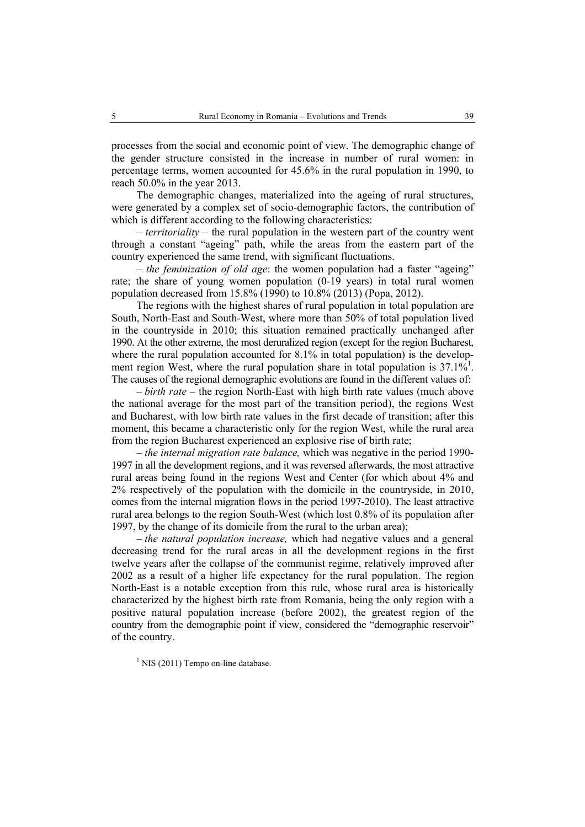processes from the social and economic point of view. The demographic change of the gender structure consisted in the increase in number of rural women: in percentage terms, women accounted for 45.6% in the rural population in 1990, to reach 50.0% in the year 2013.

The demographic changes, materialized into the ageing of rural structures, were generated by a complex set of socio-demographic factors, the contribution of which is different according to the following characteristics:

– *territoriality* – the rural population in the western part of the country went through a constant "ageing" path, while the areas from the eastern part of the country experienced the same trend, with significant fluctuations.

– *the feminization of old age*: the women population had a faster "ageing" rate; the share of young women population (0-19 years) in total rural women population decreased from 15.8% (1990) to 10.8% (2013) (Popa, 2012).

The regions with the highest shares of rural population in total population are South, North-East and South-West, where more than 50% of total population lived in the countryside in 2010; this situation remained practically unchanged after 1990. At the other extreme, the most deruralized region (except for the region Bucharest, where the rural population accounted for 8.1% in total population) is the development region West, where the rural population share in total population is  $37.1\%$ <sup>1</sup>. The causes of the regional demographic evolutions are found in the different values of:

*– birth rate* – the region North-East with high birth rate values (much above the national average for the most part of the transition period), the regions West and Bucharest, with low birth rate values in the first decade of transition; after this moment, this became a characteristic only for the region West, while the rural area from the region Bucharest experienced an explosive rise of birth rate;

*– the internal migration rate balance,* which was negative in the period 1990- 1997 in all the development regions, and it was reversed afterwards, the most attractive rural areas being found in the regions West and Center (for which about 4% and 2% respectively of the population with the domicile in the countryside, in 2010, comes from the internal migration flows in the period 1997-2010). The least attractive rural area belongs to the region South-West (which lost 0.8% of its population after 1997, by the change of its domicile from the rural to the urban area);

*– the natural population increase,* which had negative values and a general decreasing trend for the rural areas in all the development regions in the first twelve years after the collapse of the communist regime, relatively improved after 2002 as a result of a higher life expectancy for the rural population. The region North-East is a notable exception from this rule, whose rural area is historically characterized by the highest birth rate from Romania, being the only region with a positive natural population increase (before 2002), the greatest region of the country from the demographic point if view, considered the "demographic reservoir" of the country.

 $<sup>1</sup>$  NIS (2011) Tempo on-line database.</sup>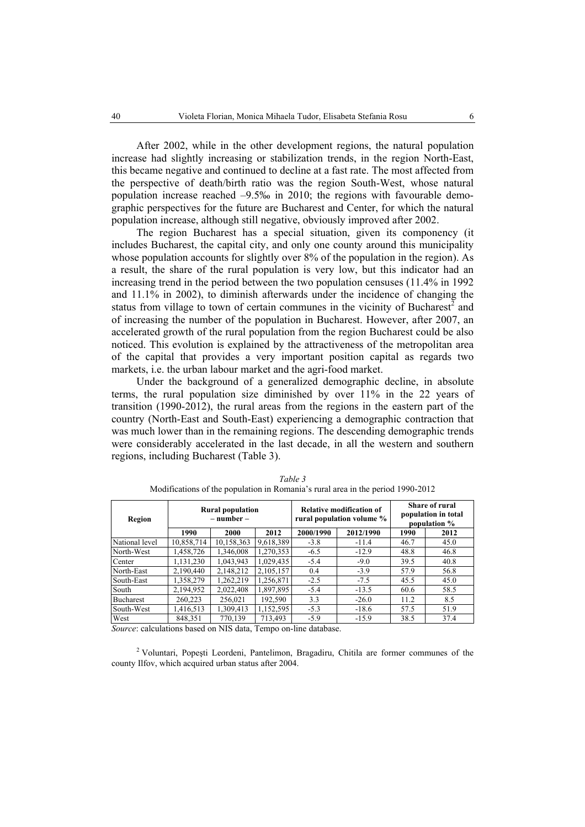After 2002, while in the other development regions, the natural population increase had slightly increasing or stabilization trends, in the region North-East, this became negative and continued to decline at a fast rate. The most affected from the perspective of death/birth ratio was the region South-West, whose natural population increase reached  $-9.5\%$  in 2010; the regions with favourable demographic perspectives for the future are Bucharest and Center, for which the natural population increase, although still negative, obviously improved after 2002.

The region Bucharest has a special situation, given its componency (it includes Bucharest, the capital city, and only one county around this municipality whose population accounts for slightly over 8% of the population in the region). As a result, the share of the rural population is very low, but this indicator had an increasing trend in the period between the two population censuses (11.4% in 1992 and 11.1% in 2002), to diminish afterwards under the incidence of changing the status from village to town of certain communes in the vicinity of Bucharest<sup>2</sup> and of increasing the number of the population in Bucharest. However, after 2007, an accelerated growth of the rural population from the region Bucharest could be also noticed. This evolution is explained by the attractiveness of the metropolitan area of the capital that provides a very important position capital as regards two markets, i.e. the urban labour market and the agri-food market.

Under the background of a generalized demographic decline, in absolute terms, the rural population size diminished by over 11% in the 22 years of transition (1990-2012), the rural areas from the regions in the eastern part of the country (North-East and South-East) experiencing a demographic contraction that was much lower than in the remaining regions. The descending demographic trends were considerably accelerated in the last decade, in all the western and southern regions, including Bucharest (Table 3).

| <b>Rural population</b><br>$-$ number $-$<br>Region |            | <b>Relative modification of</b><br>rural population volume % |           | <b>Share of rural</b><br>population in total<br>population % |           |      |      |
|-----------------------------------------------------|------------|--------------------------------------------------------------|-----------|--------------------------------------------------------------|-----------|------|------|
|                                                     | 1990       | 2000                                                         | 2012      | 2000/1990                                                    | 2012/1990 | 1990 | 2012 |
| National level                                      | 10,858,714 | 10,158,363                                                   | 9,618,389 | $-3.8$                                                       | $-11.4$   | 46.7 | 45.0 |
| North-West                                          | 1,458,726  | 1,346,008                                                    | 1,270,353 | $-6.5$                                                       | $-12.9$   | 48.8 | 46.8 |
| Center                                              | 1,131,230  | 1,043,943                                                    | 1,029,435 | $-5.4$                                                       | $-9.0$    | 39.5 | 40.8 |
| North-East                                          | 2,190,440  | 2,148,212                                                    | 2,105,157 | 0.4                                                          | $-3.9$    | 57.9 | 56.8 |
| South-East                                          | 1,358,279  | 1,262,219                                                    | 1,256,871 | $-2.5$                                                       | $-7.5$    | 45.5 | 45.0 |
| South                                               | 2,194,952  | 2,022,408                                                    | 1,897,895 | $-5.4$                                                       | $-13.5$   | 60.6 | 58.5 |
| Bucharest                                           | 260,223    | 256,021                                                      | 192,590   | 3.3                                                          | $-26.0$   | 11.2 | 8.5  |
| South-West                                          | 1,416,513  | 1,309,413                                                    | 1,152,595 | $-5.3$                                                       | $-18.6$   | 57.5 | 51.9 |
| West                                                | 848,351    | 770,139                                                      | 713,493   | $-5.9$                                                       | $-15.9$   | 38.5 | 37.4 |

*Table 3*  Modifications of the population in Romania's rural area in the period 1990-2012

*Source*: calculations based on NIS data, Tempo on-line database.

<sup>2</sup> Voluntari, Popești Leordeni, Pantelimon, Bragadiru, Chitila are former communes of the county Ilfov, which acquired urban status after 2004.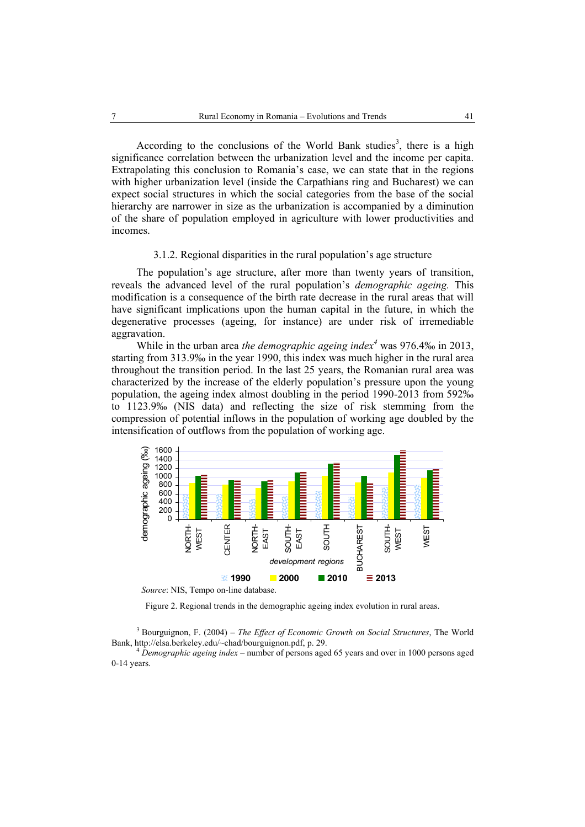According to the conclusions of the World Bank studies<sup>3</sup>, there is a high significance correlation between the urbanization level and the income per capita. Extrapolating this conclusion to Romania's case, we can state that in the regions with higher urbanization level (inside the Carpathians ring and Bucharest) we can expect social structures in which the social categories from the base of the social hierarchy are narrower in size as the urbanization is accompanied by a diminution of the share of population employed in agriculture with lower productivities and incomes.

### 3.1.2. Regional disparities in the rural population's age structure

The population's age structure, after more than twenty years of transition, reveals the advanced level of the rural population's *demographic ageing.* This modification is a consequence of the birth rate decrease in the rural areas that will have significant implications upon the human capital in the future, in which the degenerative processes (ageing, for instance) are under risk of irremediable aggravation.

While in the urban area *the demographic ageing index<sup>4</sup>* was 976.4‰ in 2013, starting from 313.9‰ in the year 1990, this index was much higher in the rural area throughout the transition period. In the last 25 years, the Romanian rural area was characterized by the increase of the elderly population's pressure upon the young population, the ageing index almost doubling in the period 1990-2013 from 592‰ to 1123.9‰ (NIS data) and reflecting the size of risk stemming from the compression of potential inflows in the population of working age doubled by the intensification of outflows from the population of working age.



 *Source*: NIS, Tempo on-line database.

Figure 2. Regional trends in the demographic ageing index evolution in rural areas.

3 Bourguignon, F. (2004) – *The Effect of Economic Growth on Social Structures*, The World Bank, http://elsa.berkeley.edu/~chad/bourguignon.pdf, p. 29. 4 *Demographic ageing index* – number of persons aged 65 years and over in 1000 persons aged

0-14 years.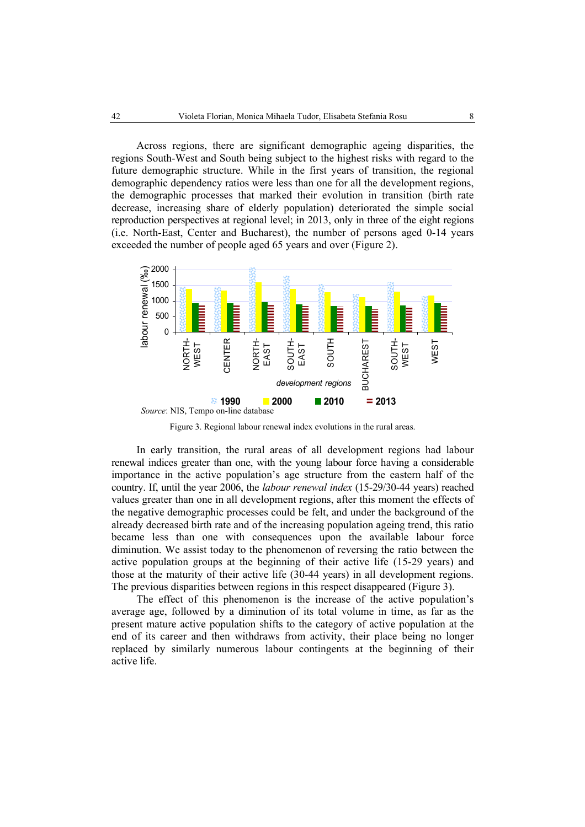Across regions, there are significant demographic ageing disparities, the regions South-West and South being subject to the highest risks with regard to the future demographic structure. While in the first years of transition, the regional demographic dependency ratios were less than one for all the development regions, the demographic processes that marked their evolution in transition (birth rate decrease, increasing share of elderly population) deteriorated the simple social reproduction perspectives at regional level; in 2013, only in three of the eight regions (i.e. North-East, Center and Bucharest), the number of persons aged 0-14 years exceeded the number of people aged 65 years and over (Figure 2).



Figure 3. Regional labour renewal index evolutions in the rural areas.

In early transition, the rural areas of all development regions had labour renewal indices greater than one, with the young labour force having a considerable importance in the active population's age structure from the eastern half of the country. If, until the year 2006, the *labour renewal index* (15-29/30-44 years) reached values greater than one in all development regions, after this moment the effects of the negative demographic processes could be felt, and under the background of the already decreased birth rate and of the increasing population ageing trend, this ratio became less than one with consequences upon the available labour force diminution. We assist today to the phenomenon of reversing the ratio between the active population groups at the beginning of their active life (15-29 years) and those at the maturity of their active life (30-44 years) in all development regions. The previous disparities between regions in this respect disappeared (Figure 3).

The effect of this phenomenon is the increase of the active population's average age, followed by a diminution of its total volume in time, as far as the present mature active population shifts to the category of active population at the end of its career and then withdraws from activity, their place being no longer replaced by similarly numerous labour contingents at the beginning of their active life.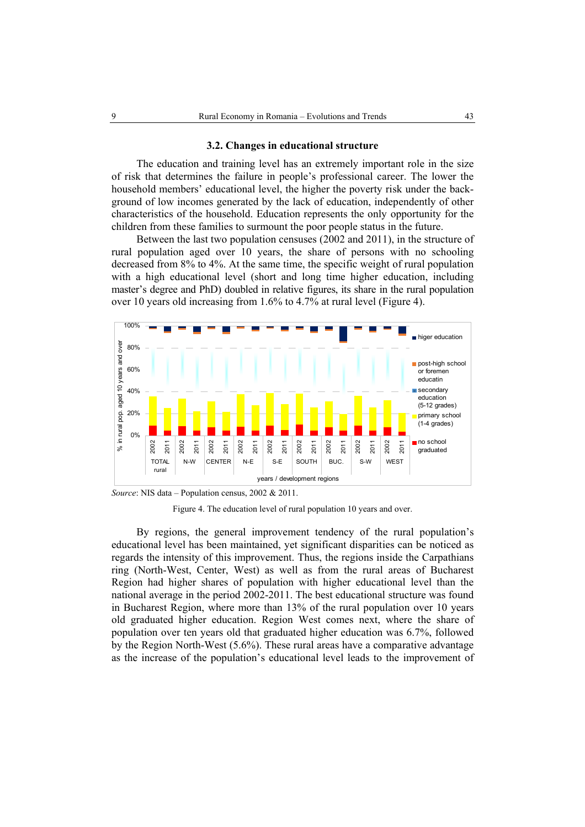#### **3.2. Changes in educational structure**

The education and training level has an extremely important role in the size of risk that determines the failure in people's professional career. The lower the household members' educational level, the higher the poverty risk under the background of low incomes generated by the lack of education, independently of other characteristics of the household. Education represents the only opportunity for the children from these families to surmount the poor people status in the future.

Between the last two population censuses (2002 and 2011), in the structure of rural population aged over 10 years, the share of persons with no schooling decreased from 8% to 4%. At the same time, the specific weight of rural population with a high educational level (short and long time higher education, including master's degree and PhD) doubled in relative figures, its share in the rural population over 10 years old increasing from 1.6% to 4.7% at rural level (Figure 4).



*Source*: NIS data – Population census, 2002 & 2011.

Figure 4. The education level of rural population 10 years and over.

By regions, the general improvement tendency of the rural population's educational level has been maintained, yet significant disparities can be noticed as regards the intensity of this improvement. Thus, the regions inside the Carpathians ring (North-West, Center, West) as well as from the rural areas of Bucharest Region had higher shares of population with higher educational level than the national average in the period 2002-2011. The best educational structure was found in Bucharest Region, where more than 13% of the rural population over 10 years old graduated higher education. Region West comes next, where the share of population over ten years old that graduated higher education was 6.7%, followed by the Region North-West (5.6%). These rural areas have a comparative advantage as the increase of the population's educational level leads to the improvement of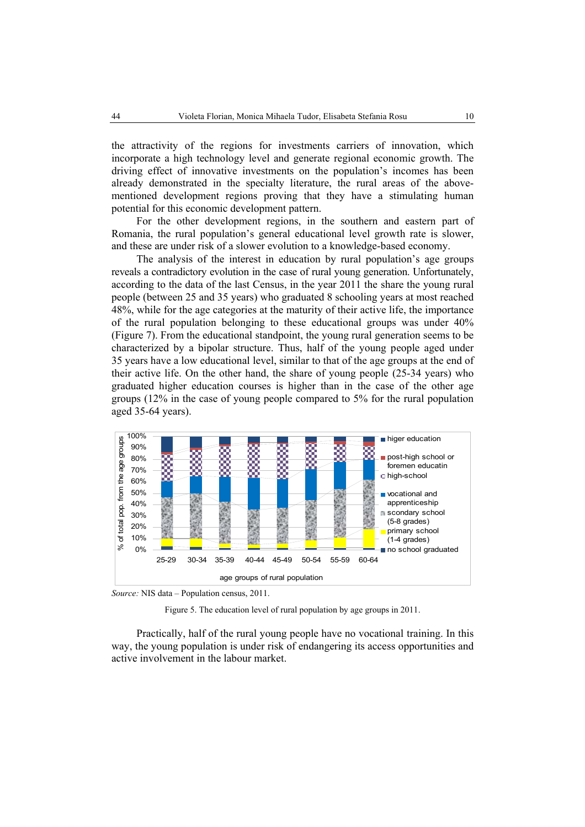the attractivity of the regions for investments carriers of innovation, which incorporate a high technology level and generate regional economic growth. The driving effect of innovative investments on the population's incomes has been already demonstrated in the specialty literature, the rural areas of the abovementioned development regions proving that they have a stimulating human potential for this economic development pattern.

For the other development regions, in the southern and eastern part of Romania, the rural population's general educational level growth rate is slower, and these are under risk of a slower evolution to a knowledge-based economy.

The analysis of the interest in education by rural population's age groups reveals a contradictory evolution in the case of rural young generation. Unfortunately, according to the data of the last Census, in the year 2011 the share the young rural people (between 25 and 35 years) who graduated 8 schooling years at most reached 48%, while for the age categories at the maturity of their active life, the importance of the rural population belonging to these educational groups was under 40% (Figure 7). From the educational standpoint, the young rural generation seems to be characterized by a bipolar structure. Thus, half of the young people aged under 35 years have a low educational level, similar to that of the age groups at the end of their active life. On the other hand, the share of young people (25-34 years) who graduated higher education courses is higher than in the case of the other age groups (12% in the case of young people compared to 5% for the rural population aged 35-64 years).



*Source:* NIS data – Population census, 2011.

Figure 5. The education level of rural population by age groups in 2011.

Practically, half of the rural young people have no vocational training. In this way, the young population is under risk of endangering its access opportunities and active involvement in the labour market.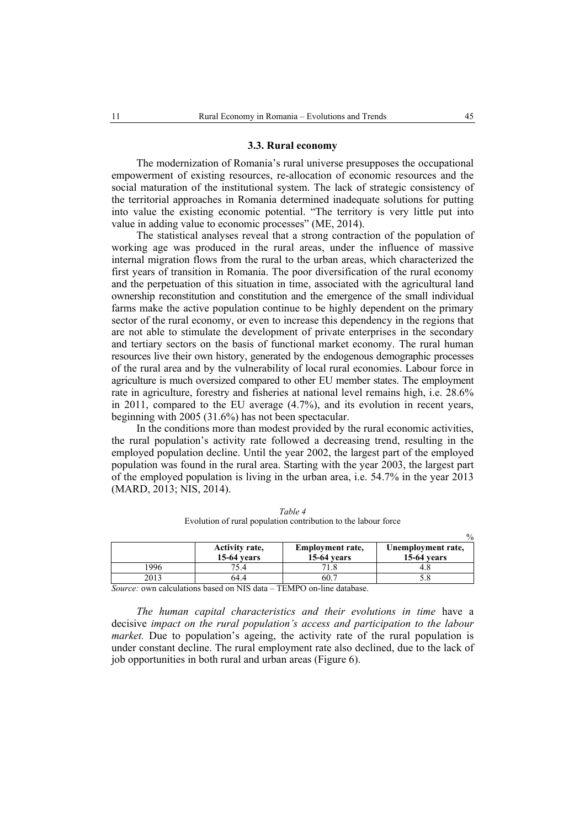#### **3.3. Rural economy**

The modernization of Romania's rural universe presupposes the occupational empowerment of existing resources, re-allocation of economic resources and the social maturation of the institutional system. The lack of strategic consistency of the territorial approaches in Romania determined inadequate solutions for putting into value the existing economic potential. "The territory is very little put into value in adding value to economic processes" (ME, 2014).

The statistical analyses reveal that a strong contraction of the population of working age was produced in the rural areas, under the influence of massive internal migration flows from the rural to the urban areas, which characterized the first years of transition in Romania. The poor diversification of the rural economy and the perpetuation of this situation in time, associated with the agricultural land ownership reconstitution and constitution and the emergence of the small individual farms make the active population continue to be highly dependent on the primary sector of the rural economy, or even to increase this dependency in the regions that are not able to stimulate the development of private enterprises in the secondary and tertiary sectors on the basis of functional market economy. The rural human resources live their own history, generated by the endogenous demographic processes of the rural area and by the vulnerability of local rural economies. Labour force in agriculture is much oversized compared to other EU member states. The employment rate in agriculture, forestry and fisheries at national level remains high, i.e. 28.6% in 2011, compared to the EU average (4.7%), and its evolution in recent years, beginning with 2005 (31.6%) has not been spectacular.

In the conditions more than modest provided by the rural economic activities, the rural population's activity rate followed a decreasing trend, resulting in the employed population decline. Until the year 2002, the largest part of the employed population was found in the rural area. Starting with the year 2003, the largest part of the employed population is living in the urban area, i.e. 54.7% in the year 2013 (MARD, 2013; NIS, 2014).

|      | Activity rate,<br><b>15-64 years</b> | <b>Employment rate,</b><br><b>15-64 years</b> | Unemployment rate,<br><b>15-64 years</b> |
|------|--------------------------------------|-----------------------------------------------|------------------------------------------|
| .996 | 75.4                                 |                                               |                                          |
| 2013 | 64.4                                 | 60.                                           |                                          |

*Table 4*  Evolution of rural population contribution to the labour force

*Source:* own calculations based on NIS data – TEMPO on-line database.

*The human capital characteristics and their evolutions in time* have a decisive *impact on the rural population's access and participation to the labour market.* Due to population's ageing, the activity rate of the rural population is under constant decline. The rural employment rate also declined, due to the lack of job opportunities in both rural and urban areas (Figure 6).

 $\mathfrak{g}'$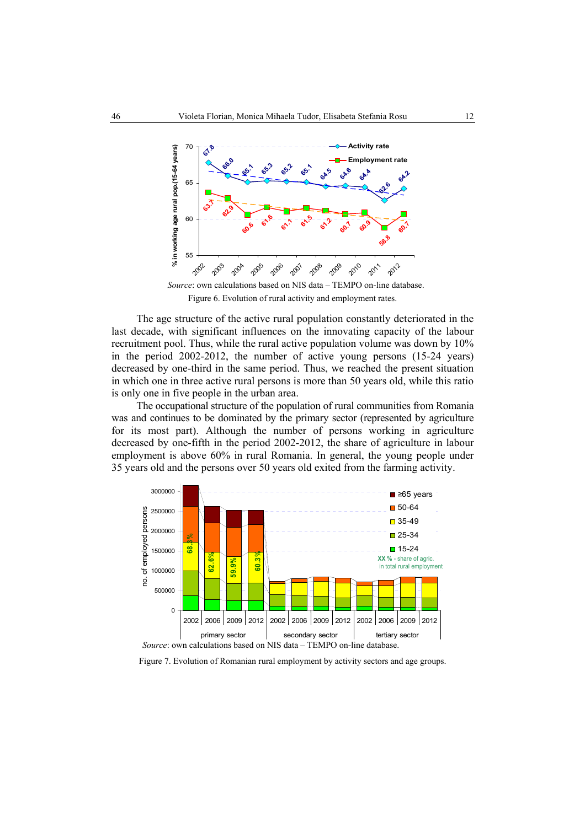

Figure 6. Evolution of rural activity and employment rates.

The age structure of the active rural population constantly deteriorated in the last decade, with significant influences on the innovating capacity of the labour recruitment pool. Thus, while the rural active population volume was down by 10% in the period 2002-2012, the number of active young persons (15-24 years) decreased by one-third in the same period. Thus, we reached the present situation in which one in three active rural persons is more than 50 years old, while this ratio is only one in five people in the urban area.

The occupational structure of the population of rural communities from Romania was and continues to be dominated by the primary sector (represented by agriculture for its most part). Although the number of persons working in agriculture decreased by one-fifth in the period 2002-2012, the share of agriculture in labour employment is above 60% in rural Romania. In general, the young people under 35 years old and the persons over 50 years old exited from the farming activity.



Figure 7. Evolution of Romanian rural employment by activity sectors and age groups.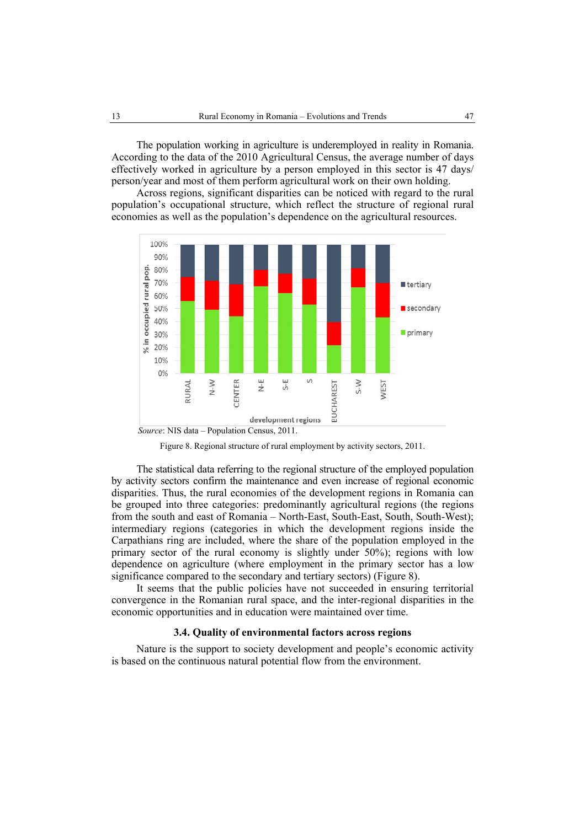The population working in agriculture is underemployed in reality in Romania. According to the data of the 2010 Agricultural Census, the average number of days effectively worked in agriculture by a person employed in this sector is 47 days/ person/year and most of them perform agricultural work on their own holding.

Across regions, significant disparities can be noticed with regard to the rural population's occupational structure, which reflect the structure of regional rural economies as well as the population's dependence on the agricultural resources.





The statistical data referring to the regional structure of the employed population by activity sectors confirm the maintenance and even increase of regional economic disparities. Thus, the rural economies of the development regions in Romania can be grouped into three categories: predominantly agricultural regions (the regions from the south and east of Romania – North-East, South-East, South, South-West); intermediary regions (categories in which the development regions inside the Carpathians ring are included, where the share of the population employed in the primary sector of the rural economy is slightly under 50%); regions with low dependence on agriculture (where employment in the primary sector has a low significance compared to the secondary and tertiary sectors) (Figure 8).

It seems that the public policies have not succeeded in ensuring territorial convergence in the Romanian rural space, and the inter-regional disparities in the economic opportunities and in education were maintained over time.

### **3.4. Quality of environmental factors across regions**

Nature is the support to society development and people's economic activity is based on the continuous natural potential flow from the environment.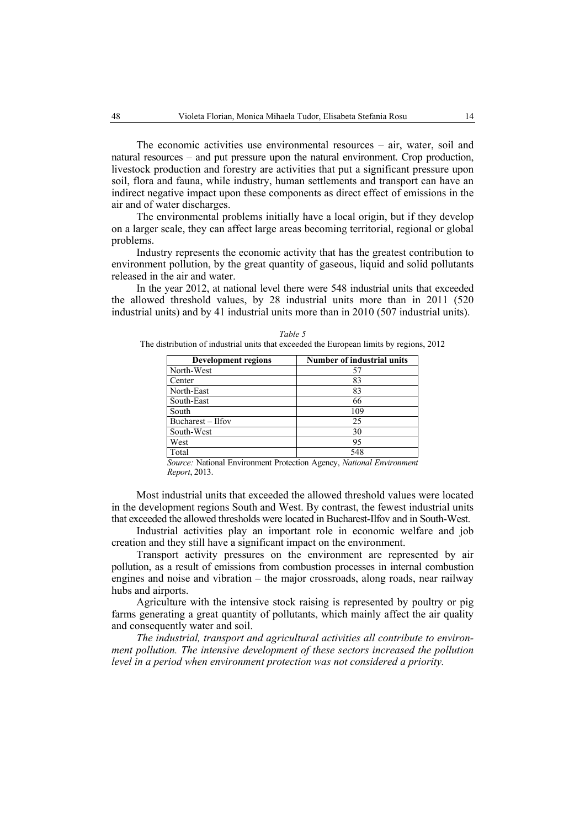The economic activities use environmental resources – air, water, soil and natural resources – and put pressure upon the natural environment. Crop production, livestock production and forestry are activities that put a significant pressure upon soil, flora and fauna, while industry, human settlements and transport can have an indirect negative impact upon these components as direct effect of emissions in the air and of water discharges.

The environmental problems initially have a local origin, but if they develop on a larger scale, they can affect large areas becoming territorial, regional or global problems.

Industry represents the economic activity that has the greatest contribution to environment pollution, by the great quantity of gaseous, liquid and solid pollutants released in the air and water.

In the year 2012, at national level there were 548 industrial units that exceeded the allowed threshold values, by 28 industrial units more than in 2011 (520 industrial units) and by 41 industrial units more than in 2010 (507 industrial units).

| Development regions | <b>Number of industrial units</b> |
|---------------------|-----------------------------------|
| North-West          | 57                                |
| Center              | 83                                |
| North-East          | 83                                |
| South-East          | 66                                |
| South               | 109                               |
| Bucharest - Ilfov   | 25                                |
| South-West          | 30                                |
| West                | 95                                |
| Total               | 548                               |

|                                                                                         | Table 5 |  |
|-----------------------------------------------------------------------------------------|---------|--|
| The distribution of industrial units that exceeded the European limits by regions, 2012 |         |  |

*Source:* National Environment Protection Agency, *National Environment Report*, 2013.

Most industrial units that exceeded the allowed threshold values were located in the development regions South and West. By contrast, the fewest industrial units that exceeded the allowed thresholds were located in Bucharest-Ilfov and in South-West.

Industrial activities play an important role in economic welfare and job creation and they still have a significant impact on the environment.

Transport activity pressures on the environment are represented by air pollution, as a result of emissions from combustion processes in internal combustion engines and noise and vibration – the major crossroads, along roads, near railway hubs and airports.

Agriculture with the intensive stock raising is represented by poultry or pig farms generating a great quantity of pollutants, which mainly affect the air quality and consequently water and soil.

*The industrial, transport and agricultural activities all contribute to environment pollution. The intensive development of these sectors increased the pollution level in a period when environment protection was not considered a priority.*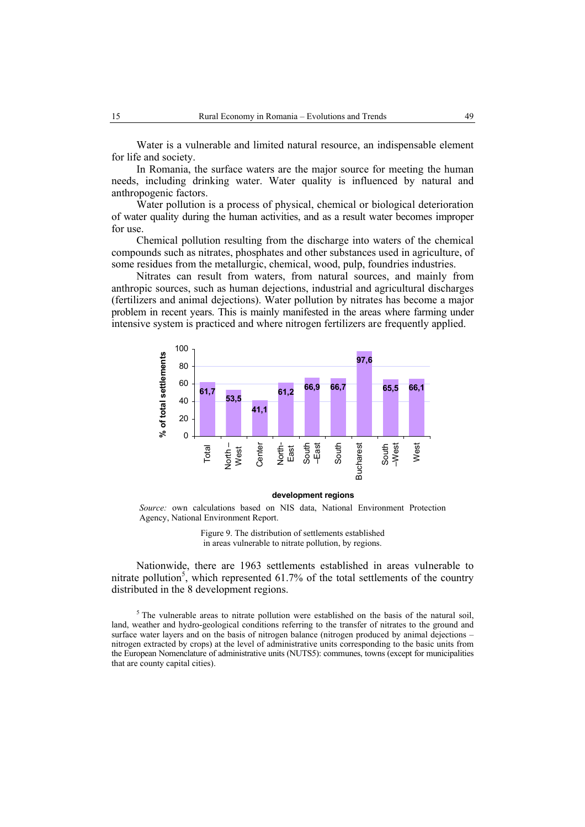Water is a vulnerable and limited natural resource, an indispensable element for life and society.

In Romania, the surface waters are the major source for meeting the human needs, including drinking water. Water quality is influenced by natural and anthropogenic factors.

Water pollution is a process of physical, chemical or biological deterioration of water quality during the human activities, and as a result water becomes improper for use.

Chemical pollution resulting from the discharge into waters of the chemical compounds such as nitrates, phosphates and other substances used in agriculture, of some residues from the metallurgic, chemical, wood, pulp, foundries industries.

Nitrates can result from waters, from natural sources, and mainly from anthropic sources, such as human dejections, industrial and agricultural discharges (fertilizers and animal dejections). Water pollution by nitrates has become a major problem in recent years. This is mainly manifested in the areas where farming under intensive system is practiced and where nitrogen fertilizers are frequently applied.



#### **development regions**

*Source:* own calculations based on NIS data, National Environment Protection Agency, National Environment Report.

> Figure 9. The distribution of settlements established in areas vulnerable to nitrate pollution, by regions.

Nationwide, there are 1963 settlements established in areas vulnerable to nitrate pollution<sup>5</sup>, which represented 61.7% of the total settlements of the country distributed in the 8 development regions.

 $<sup>5</sup>$  The vulnerable areas to nitrate pollution were established on the basis of the natural soil,</sup> land, weather and hydro-geological conditions referring to the transfer of nitrates to the ground and surface water layers and on the basis of nitrogen balance (nitrogen produced by animal dejections – nitrogen extracted by crops) at the level of administrative units corresponding to the basic units from the European Nomenclature of administrative units (NUTS5): communes, towns (except for municipalities that are county capital cities).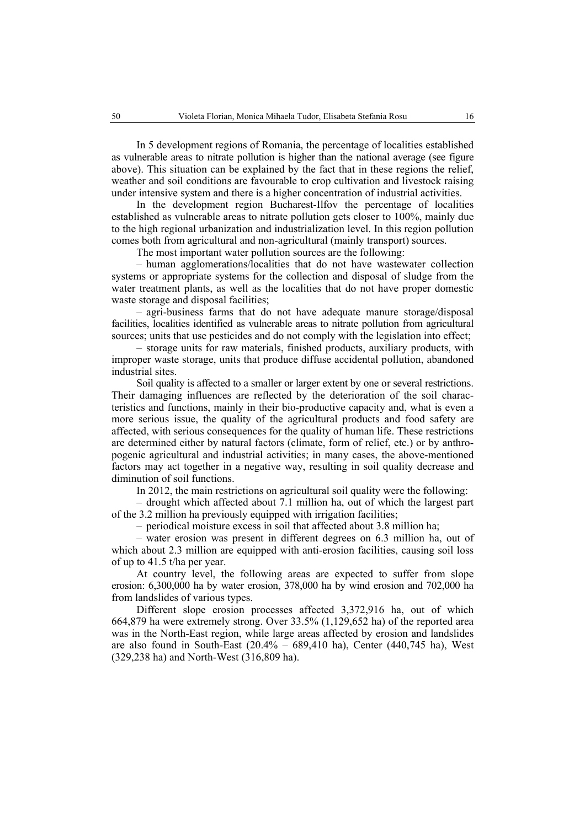In 5 development regions of Romania, the percentage of localities established as vulnerable areas to nitrate pollution is higher than the national average (see figure above). This situation can be explained by the fact that in these regions the relief, weather and soil conditions are favourable to crop cultivation and livestock raising under intensive system and there is a higher concentration of industrial activities.

In the development region Bucharest-Ilfov the percentage of localities established as vulnerable areas to nitrate pollution gets closer to 100%, mainly due to the high regional urbanization and industrialization level. In this region pollution comes both from agricultural and non-agricultural (mainly transport) sources.

The most important water pollution sources are the following:

– human agglomerations/localities that do not have wastewater collection systems or appropriate systems for the collection and disposal of sludge from the water treatment plants, as well as the localities that do not have proper domestic waste storage and disposal facilities;

– agri-business farms that do not have adequate manure storage/disposal facilities, localities identified as vulnerable areas to nitrate pollution from agricultural sources; units that use pesticides and do not comply with the legislation into effect;

– storage units for raw materials, finished products, auxiliary products, with improper waste storage, units that produce diffuse accidental pollution, abandoned industrial sites.

Soil quality is affected to a smaller or larger extent by one or several restrictions. Their damaging influences are reflected by the deterioration of the soil characteristics and functions, mainly in their bio-productive capacity and, what is even a more serious issue, the quality of the agricultural products and food safety are affected, with serious consequences for the quality of human life. These restrictions are determined either by natural factors (climate, form of relief, etc.) or by anthropogenic agricultural and industrial activities; in many cases, the above-mentioned factors may act together in a negative way, resulting in soil quality decrease and diminution of soil functions.

In 2012, the main restrictions on agricultural soil quality were the following:

– drought which affected about 7.1 million ha, out of which the largest part of the 3.2 million ha previously equipped with irrigation facilities;

– periodical moisture excess in soil that affected about 3.8 million ha;

– water erosion was present in different degrees on 6.3 million ha, out of which about 2.3 million are equipped with anti-erosion facilities, causing soil loss of up to 41.5 t/ha per year.

At country level, the following areas are expected to suffer from slope erosion: 6,300,000 ha by water erosion, 378,000 ha by wind erosion and 702,000 ha from landslides of various types.

Different slope erosion processes affected 3,372,916 ha, out of which 664,879 ha were extremely strong. Over 33.5% (1,129,652 ha) of the reported area was in the North-East region, while large areas affected by erosion and landslides are also found in South-East  $(20.4\% - 689,410 \text{ ha})$ , Center  $(440,745 \text{ ha})$ , West (329,238 ha) and North-West (316,809 ha).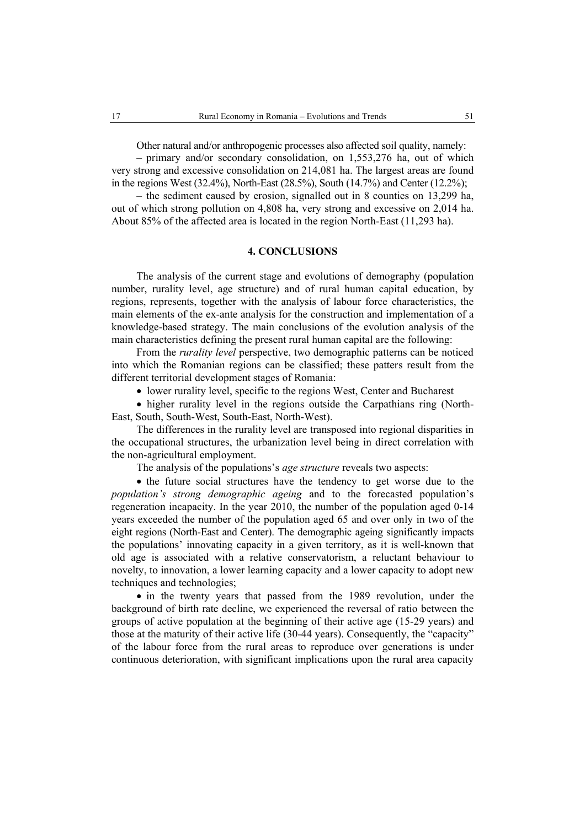Other natural and/or anthropogenic processes also affected soil quality, namely:

– primary and/or secondary consolidation, on 1,553,276 ha, out of which very strong and excessive consolidation on 214,081 ha. The largest areas are found in the regions West (32.4%), North-East (28.5%), South (14.7%) and Center (12.2%);

– the sediment caused by erosion, signalled out in 8 counties on 13,299 ha, out of which strong pollution on 4,808 ha, very strong and excessive on 2,014 ha. About 85% of the affected area is located in the region North-East (11,293 ha).

### **4. CONCLUSIONS**

The analysis of the current stage and evolutions of demography (population number, rurality level, age structure) and of rural human capital education, by regions, represents, together with the analysis of labour force characteristics, the main elements of the ex-ante analysis for the construction and implementation of a knowledge-based strategy. The main conclusions of the evolution analysis of the main characteristics defining the present rural human capital are the following:

From the *rurality level* perspective, two demographic patterns can be noticed into which the Romanian regions can be classified; these patters result from the different territorial development stages of Romania:

• lower rurality level, specific to the regions West, Center and Bucharest

• higher rurality level in the regions outside the Carpathians ring (North-East, South, South-West, South-East, North-West).

The differences in the rurality level are transposed into regional disparities in the occupational structures, the urbanization level being in direct correlation with the non-agricultural employment.

The analysis of the populations's *age structure* reveals two aspects:

• the future social structures have the tendency to get worse due to the *population's strong demographic ageing* and to the forecasted population's regeneration incapacity. In the year 2010, the number of the population aged 0-14 years exceeded the number of the population aged 65 and over only in two of the eight regions (North-East and Center). The demographic ageing significantly impacts the populations' innovating capacity in a given territory, as it is well-known that old age is associated with a relative conservatorism, a reluctant behaviour to novelty, to innovation, a lower learning capacity and a lower capacity to adopt new techniques and technologies;

• in the twenty years that passed from the 1989 revolution, under the background of birth rate decline, we experienced the reversal of ratio between the groups of active population at the beginning of their active age (15-29 years) and those at the maturity of their active life (30-44 years). Consequently, the "capacity" of the labour force from the rural areas to reproduce over generations is under continuous deterioration, with significant implications upon the rural area capacity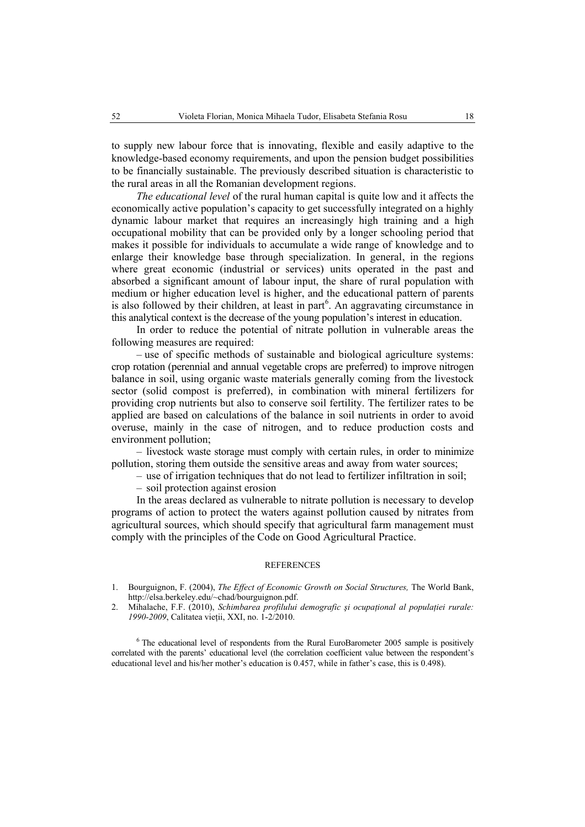to supply new labour force that is innovating, flexible and easily adaptive to the knowledge-based economy requirements, and upon the pension budget possibilities to be financially sustainable. The previously described situation is characteristic to the rural areas in all the Romanian development regions.

*The educational level* of the rural human capital is quite low and it affects the economically active population's capacity to get successfully integrated on a highly dynamic labour market that requires an increasingly high training and a high occupational mobility that can be provided only by a longer schooling period that makes it possible for individuals to accumulate a wide range of knowledge and to enlarge their knowledge base through specialization. In general, in the regions where great economic (industrial or services) units operated in the past and absorbed a significant amount of labour input, the share of rural population with medium or higher education level is higher, and the educational pattern of parents is also followed by their children, at least in part $6$ . An aggravating circumstance in this analytical context is the decrease of the young population's interest in education.

In order to reduce the potential of nitrate pollution in vulnerable areas the following measures are required:

– use of specific methods of sustainable and biological agriculture systems: crop rotation (perennial and annual vegetable crops are preferred) to improve nitrogen balance in soil, using organic waste materials generally coming from the livestock sector (solid compost is preferred), in combination with mineral fertilizers for providing crop nutrients but also to conserve soil fertility. The fertilizer rates to be applied are based on calculations of the balance in soil nutrients in order to avoid overuse, mainly in the case of nitrogen, and to reduce production costs and environment pollution;

– livestock waste storage must comply with certain rules, in order to minimize pollution, storing them outside the sensitive areas and away from water sources;

– use of irrigation techniques that do not lead to fertilizer infiltration in soil;

– soil protection against erosion

In the areas declared as vulnerable to nitrate pollution is necessary to develop programs of action to protect the waters against pollution caused by nitrates from agricultural sources, which should specify that agricultural farm management must comply with the principles of the Code on Good Agricultural Practice.

#### REFERENCES

- 1. Bourguignon, F. (2004), *The Effect of Economic Growth on Social Structures,* The World Bank, http://elsa.berkeley.edu/~chad/bourguignon.pdf.
- 2. Mihalache, F.F. (2010), *Schimbarea profilului demografic şi ocupaţional al populaţiei rurale: 1990-2009*, Calitatea vieţii, XXI, no. 1-2/2010.

<sup>6</sup> The educational level of respondents from the Rural EuroBarometer 2005 sample is positively correlated with the parents' educational level (the correlation coefficient value between the respondent's educational level and his/her mother's education is 0.457, while in father's case, this is 0.498).